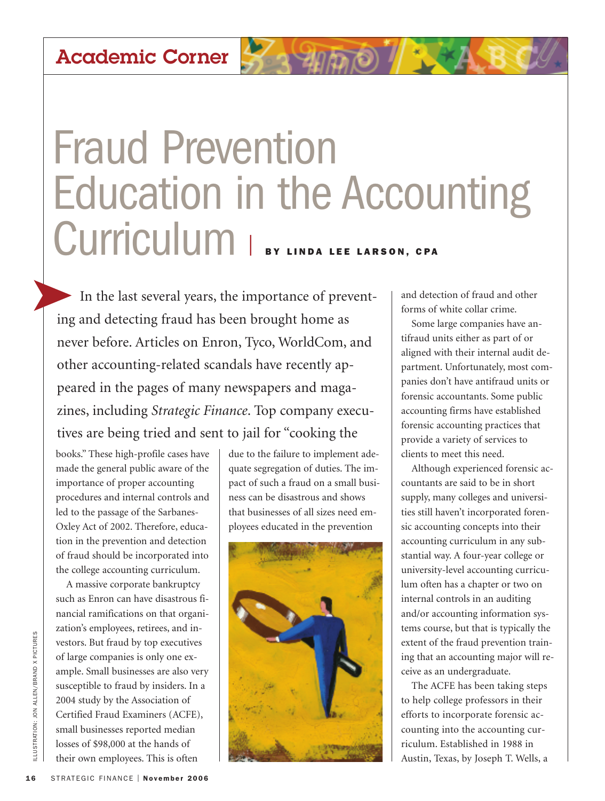## **Academic Corner**

## Fraud Prevention Education in the Accounting CU**rriculum** | **BY LINDA LEE LARSON, CPA**

In the last several years, the importance of preventing and detecting fraud has been brought home as never before. Articles on Enron, Tyco, WorldCom, and other accounting-related scandals have recently appeared in the pages of many newspapers and magazines, including *Strategic Finance*. Top company executives are being tried and sent to jail for "cooking the

books." These high-profile cases have made the general public aware of the importance of proper accounting procedures and internal controls and led to the passage of the Sarbanes-Oxley Act of 2002. Therefore, education in the prevention and detection of fraud should be incorporated into the college accounting curriculum.

A massive corporate bankruptcy such as Enron can have disastrous financial ramifications on that organization's employees, retirees, and investors. But fraud by top executives of large companies is only one example. Small businesses are also very susceptible to fraud by insiders. In a 2004 study by the Association of Certified Fraud Examiners (ACFE), small businesses reported median losses of \$98,000 at the hands of their own employees. This is often **16** SE S TRATEGIC FINANCE | November 2006<br>
STRATEGIC FINANCE I NOVEMBER 16<br> **16** STRATEGIC FINANCE I NOVEMBER 16<br>
16 STRATEGIC FINANCE | November 2006<br>
STRATEGIC FINANCE | November 2006

due to the failure to implement adequate segregation of duties. The impact of such a fraud on a small business can be disastrous and shows that businesses of all sizes need employees educated in the prevention



and detection of fraud and other forms of white collar crime.

Some large companies have antifraud units either as part of or aligned with their internal audit department. Unfortunately, most companies don't have antifraud units or forensic accountants. Some public accounting firms have established forensic accounting practices that provide a variety of services to clients to meet this need.

Although experienced forensic accountants are said to be in short supply, many colleges and universities still haven't incorporated forensic accounting concepts into their accounting curriculum in any substantial way. A four-year college or university-level accounting curriculum often has a chapter or two on internal controls in an auditing and/or accounting information systems course, but that is typically the extent of the fraud prevention training that an accounting major will receive as an undergraduate.

The ACFE has been taking steps to help college professors in their efforts to incorporate forensic accounting into the accounting curriculum. Established in 1988 in Austin, Texas, by Joseph T. Wells, a